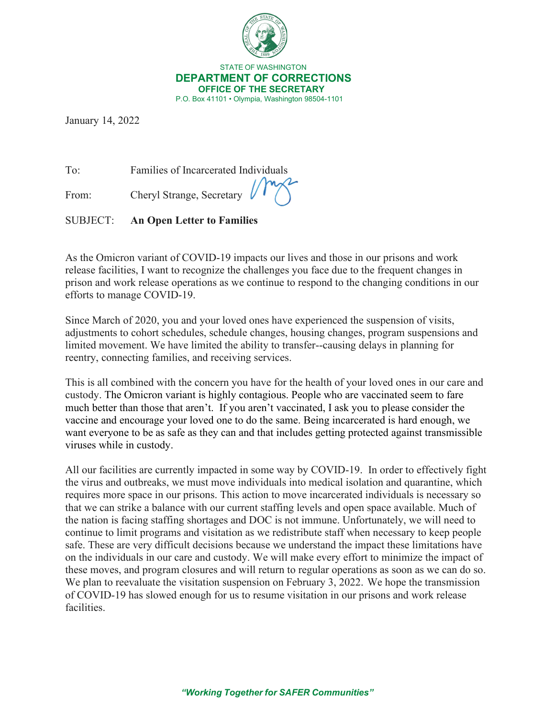

 STATE OF WASHINGTON **DEPARTMENT OF CORRECTIONS OFFICE OF THE SECRETARY** P.O. Box 41101 • Olympia, Washington 98504-1101

January 14, 2022

To: Families of Incarcerated Individuals

From: Cheryl Strange, Secretary

SUBJECT: **An Open Letter to Families**

As the Omicron variant of COVID-19 impacts our lives and those in our prisons and work release facilities, I want to recognize the challenges you face due to the frequent changes in prison and work release operations as we continue to respond to the changing conditions in our efforts to manage COVID-19.

Since March of 2020, you and your loved ones have experienced the suspension of visits, adjustments to cohort schedules, schedule changes, housing changes, program suspensions and limited movement. We have limited the ability to transfer--causing delays in planning for reentry, connecting families, and receiving services.

This is all combined with the concern you have for the health of your loved ones in our care and custody. The Omicron variant is highly contagious. People who are vaccinated seem to fare much better than those that aren't. If you aren't vaccinated, I ask you to please consider the vaccine and encourage your loved one to do the same. Being incarcerated is hard enough, we want everyone to be as safe as they can and that includes getting protected against transmissible viruses while in custody.

All our facilities are currently impacted in some way by COVID-19. In order to effectively fight the virus and outbreaks, we must move individuals into medical isolation and quarantine, which requires more space in our prisons. This action to move incarcerated individuals is necessary so that we can strike a balance with our current staffing levels and open space available. Much of the nation is facing staffing shortages and DOC is not immune. Unfortunately, we will need to continue to limit programs and visitation as we redistribute staff when necessary to keep people safe. These are very difficult decisions because we understand the impact these limitations have on the individuals in our care and custody. We will make every effort to minimize the impact of these moves, and program closures and will return to regular operations as soon as we can do so. We plan to reevaluate the visitation suspension on February 3, 2022. We hope the transmission of COVID-19 has slowed enough for us to resume visitation in our prisons and work release facilities.